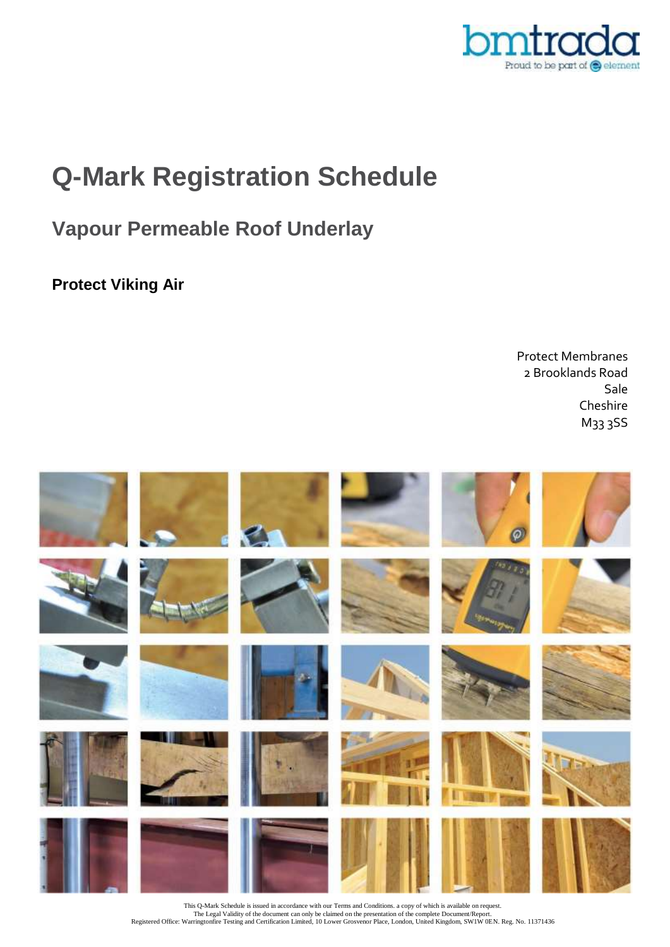

# **Q-Mark Registration Schedule**

### **Vapour Permeable Roof Underlay**

**Protect Viking Air**

Protect Membranes 2 Brooklands Road Sale Cheshire M33 3SS



This Q-Mark Schedule is issued in accordance with our Terms and Conditions. a copy of which is available on request. The Legal Validity of the document can only be claimed on the presentation of the complete Document/Report.<br>Registered Office: Warringtonfire Testing and Certification Limited, 10 Lower Grosvenor Place, London, United King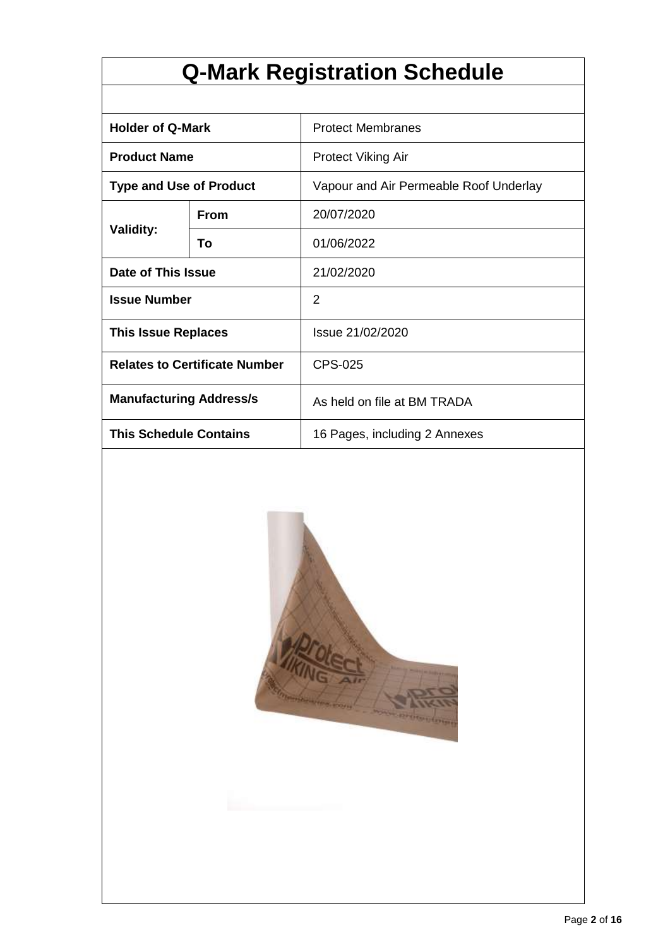# **Q-Mark Registration Schedule**

| <b>Holder of Q-Mark</b>              |             | <b>Protect Membranes</b>               |  |  |
|--------------------------------------|-------------|----------------------------------------|--|--|
| <b>Product Name</b>                  |             | <b>Protect Viking Air</b>              |  |  |
| <b>Type and Use of Product</b>       |             | Vapour and Air Permeable Roof Underlay |  |  |
|                                      | <b>From</b> | 20/07/2020                             |  |  |
| <b>Validity:</b>                     | То          | 01/06/2022                             |  |  |
| Date of This Issue                   |             | 21/02/2020                             |  |  |
| <b>Issue Number</b>                  |             | 2                                      |  |  |
| <b>This Issue Replaces</b>           |             | Issue 21/02/2020                       |  |  |
| <b>Relates to Certificate Number</b> |             | <b>CPS-025</b>                         |  |  |
| <b>Manufacturing Address/s</b>       |             | As held on file at BM TRADA            |  |  |
| <b>This Schedule Contains</b>        |             | 16 Pages, including 2 Annexes          |  |  |

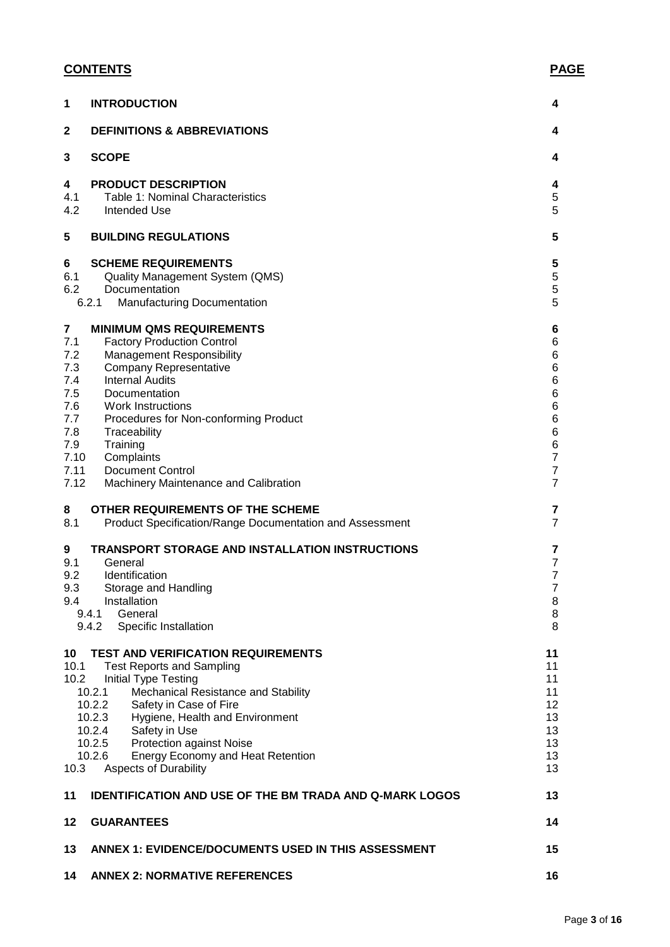#### **CONTENTS PAGE**

| 1                                                                                                              | <b>INTRODUCTION</b>                                                                                                                                                                                                                                                                                                                                                                     | 4                                                                                                    |
|----------------------------------------------------------------------------------------------------------------|-----------------------------------------------------------------------------------------------------------------------------------------------------------------------------------------------------------------------------------------------------------------------------------------------------------------------------------------------------------------------------------------|------------------------------------------------------------------------------------------------------|
| $\mathbf{2}$                                                                                                   | <b>DEFINITIONS &amp; ABBREVIATIONS</b>                                                                                                                                                                                                                                                                                                                                                  | 4                                                                                                    |
| 3                                                                                                              | <b>SCOPE</b>                                                                                                                                                                                                                                                                                                                                                                            | 4                                                                                                    |
| 4<br>4.1<br>4.2                                                                                                | <b>PRODUCT DESCRIPTION</b><br>Table 1: Nominal Characteristics<br><b>Intended Use</b>                                                                                                                                                                                                                                                                                                   | 4<br>5<br>5                                                                                          |
| 5                                                                                                              | <b>BUILDING REGULATIONS</b>                                                                                                                                                                                                                                                                                                                                                             | 5                                                                                                    |
| 6<br>6.1<br>6.2                                                                                                | <b>SCHEME REQUIREMENTS</b><br><b>Quality Management System (QMS)</b><br>Documentation<br>6.2.1<br><b>Manufacturing Documentation</b>                                                                                                                                                                                                                                                    | 5<br>5<br>5<br>5                                                                                     |
| $\overline{\mathbf{7}}$<br>7.1<br>7.2<br>7.3<br>7.4<br>7.5<br>7.6<br>7.7<br>7.8<br>7.9<br>7.10<br>7.11<br>7.12 | <b>MINIMUM QMS REQUIREMENTS</b><br><b>Factory Production Control</b><br><b>Management Responsibility</b><br><b>Company Representative</b><br><b>Internal Audits</b><br>Documentation<br><b>Work Instructions</b><br>Procedures for Non-conforming Product<br>Traceability<br>Training<br>Complaints<br><b>Document Control</b><br>Machinery Maintenance and Calibration                 | 6<br>6<br>6<br>6<br>6<br>6<br>6<br>6<br>6<br>6<br>$\overline{7}$<br>$\overline{7}$<br>$\overline{7}$ |
| 8<br>8.1                                                                                                       | OTHER REQUIREMENTS OF THE SCHEME<br><b>Product Specification/Range Documentation and Assessment</b>                                                                                                                                                                                                                                                                                     | 7<br>$\overline{7}$                                                                                  |
| 9<br>9.1<br>9.2<br>9.3<br>9.4                                                                                  | <b>TRANSPORT STORAGE AND INSTALLATION INSTRUCTIONS</b><br>General<br>Identification<br>Storage and Handling<br>Installation<br>General<br>9.4.1<br>9.4.2<br>Specific Installation                                                                                                                                                                                                       | 7<br>$\overline{7}$<br>$\overline{7}$<br>$\overline{7}$<br>8<br>8<br>8                               |
| 10<br>10.1<br>10.2<br>10.3                                                                                     | <b>TEST AND VERIFICATION REQUIREMENTS</b><br><b>Test Reports and Sampling</b><br>Initial Type Testing<br>10.2.1<br>Mechanical Resistance and Stability<br>10.2.2<br>Safety in Case of Fire<br>10.2.3<br>Hygiene, Health and Environment<br>10.2.4<br>Safety in Use<br>10.2.5<br><b>Protection against Noise</b><br>10.2.6<br>Energy Economy and Heat Retention<br>Aspects of Durability | 11<br>11<br>11<br>11<br>12<br>13<br>13<br>13<br>13<br>13                                             |
| 11                                                                                                             | <b>IDENTIFICATION AND USE OF THE BM TRADA AND Q-MARK LOGOS</b>                                                                                                                                                                                                                                                                                                                          | 13                                                                                                   |
| 12                                                                                                             | <b>GUARANTEES</b>                                                                                                                                                                                                                                                                                                                                                                       | 14                                                                                                   |
| 13                                                                                                             | <b>ANNEX 1: EVIDENCE/DOCUMENTS USED IN THIS ASSESSMENT</b>                                                                                                                                                                                                                                                                                                                              | 15                                                                                                   |
| 14                                                                                                             | <b>ANNEX 2: NORMATIVE REFERENCES</b>                                                                                                                                                                                                                                                                                                                                                    | 16                                                                                                   |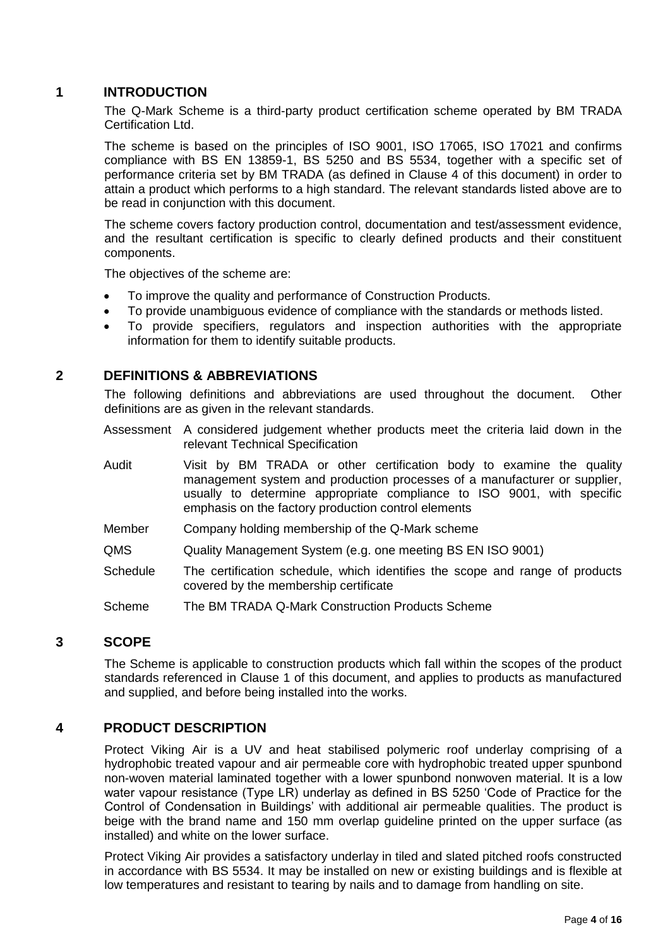#### **1 INTRODUCTION**

The Q-Mark Scheme is a third-party product certification scheme operated by BM TRADA Certification Ltd.

The scheme is based on the principles of ISO 9001, ISO 17065, ISO 17021 and confirms compliance with BS EN 13859-1, BS 5250 and BS 5534, together with a specific set of performance criteria set by BM TRADA (as defined in Clause 4 of this document) in order to attain a product which performs to a high standard. The relevant standards listed above are to be read in conjunction with this document.

The scheme covers factory production control, documentation and test/assessment evidence, and the resultant certification is specific to clearly defined products and their constituent components.

The objectives of the scheme are:

- To improve the quality and performance of Construction Products.
- To provide unambiguous evidence of compliance with the standards or methods listed.
- To provide specifiers, regulators and inspection authorities with the appropriate information for them to identify suitable products.

#### **2 DEFINITIONS & ABBREVIATIONS**

The following definitions and abbreviations are used throughout the document. Other definitions are as given in the relevant standards.

- Assessment A considered judgement whether products meet the criteria laid down in the relevant Technical Specification
- Audit Visit by BM TRADA or other certification body to examine the quality management system and production processes of a manufacturer or supplier, usually to determine appropriate compliance to ISO 9001, with specific emphasis on the factory production control elements
- Member Company holding membership of the Q-Mark scheme
- QMS Quality Management System (e.g. one meeting BS EN ISO 9001)
- Schedule The certification schedule, which identifies the scope and range of products covered by the membership certificate
- Scheme The BM TRADA Q-Mark Construction Products Scheme

#### **3 SCOPE**

The Scheme is applicable to construction products which fall within the scopes of the product standards referenced in Clause 1 of this document, and applies to products as manufactured and supplied, and before being installed into the works.

#### **4 PRODUCT DESCRIPTION**

Protect Viking Air is a UV and heat stabilised polymeric roof underlay comprising of a hydrophobic treated vapour and air permeable core with hydrophobic treated upper spunbond non-woven material laminated together with a lower spunbond nonwoven material. It is a low water vapour resistance (Type LR) underlay as defined in BS 5250 'Code of Practice for the Control of Condensation in Buildings' with additional air permeable qualities. The product is beige with the brand name and 150 mm overlap guideline printed on the upper surface (as installed) and white on the lower surface.

Protect Viking Air provides a satisfactory underlay in tiled and slated pitched roofs constructed in accordance with BS 5534. It may be installed on new or existing buildings and is flexible at low temperatures and resistant to tearing by nails and to damage from handling on site.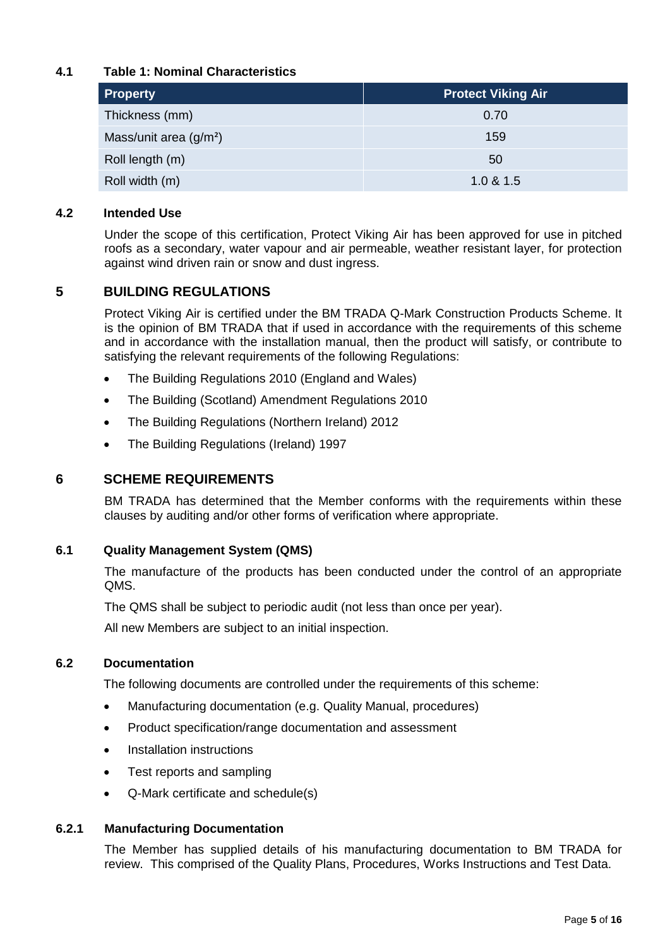#### **4.1 Table 1: Nominal Characteristics**

| <b>Property</b>         | <b>Protect Viking Air</b> |  |
|-------------------------|---------------------------|--|
| Thickness (mm)          | 0.70                      |  |
| Mass/unit area $(g/m2)$ | 159                       |  |
| Roll length (m)         | 50                        |  |
| Roll width (m)          | 1.0 & 1.5                 |  |

#### **4.2 Intended Use**

Under the scope of this certification, Protect Viking Air has been approved for use in pitched roofs as a secondary, water vapour and air permeable, weather resistant layer, for protection against wind driven rain or snow and dust ingress.

#### **5 BUILDING REGULATIONS**

Protect Viking Air is certified under the BM TRADA Q-Mark Construction Products Scheme. It is the opinion of BM TRADA that if used in accordance with the requirements of this scheme and in accordance with the installation manual, then the product will satisfy, or contribute to satisfying the relevant requirements of the following Regulations:

- The Building Regulations 2010 (England and Wales)
- The Building (Scotland) Amendment Regulations 2010
- The Building Regulations (Northern Ireland) 2012
- The Building Regulations (Ireland) 1997

#### **6 SCHEME REQUIREMENTS**

BM TRADA has determined that the Member conforms with the requirements within these clauses by auditing and/or other forms of verification where appropriate.

#### **6.1 Quality Management System (QMS)**

The manufacture of the products has been conducted under the control of an appropriate QMS.

The QMS shall be subject to periodic audit (not less than once per year).

All new Members are subject to an initial inspection.

#### **6.2 Documentation**

The following documents are controlled under the requirements of this scheme:

- Manufacturing documentation (e.g. Quality Manual, procedures)
- Product specification/range documentation and assessment
- Installation instructions
- Test reports and sampling
- Q-Mark certificate and schedule(s)

#### **6.2.1 Manufacturing Documentation**

The Member has supplied details of his manufacturing documentation to BM TRADA for review. This comprised of the Quality Plans, Procedures, Works Instructions and Test Data.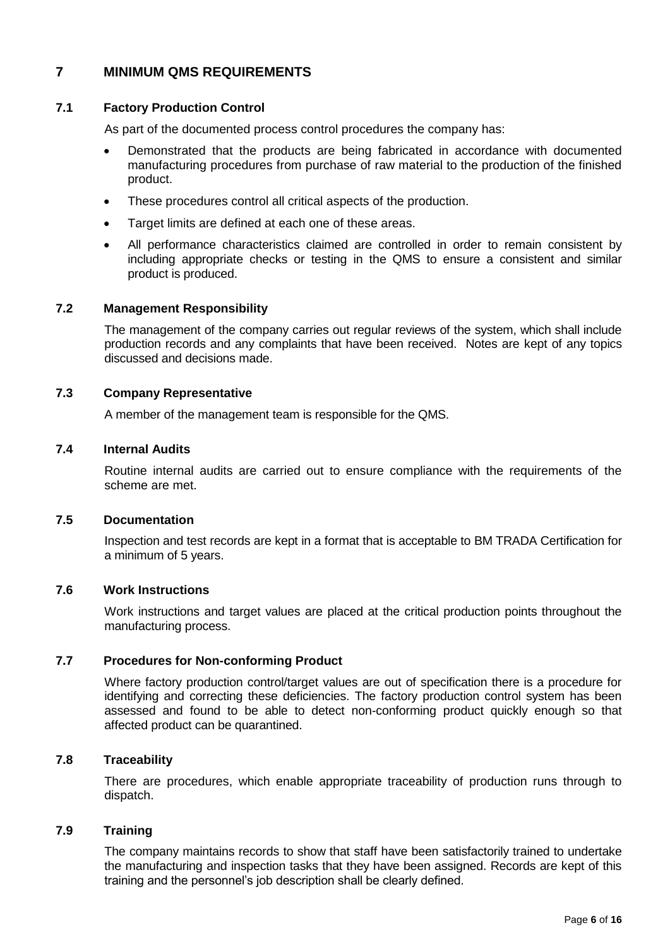#### **7 MINIMUM QMS REQUIREMENTS**

#### **7.1 Factory Production Control**

As part of the documented process control procedures the company has:

- Demonstrated that the products are being fabricated in accordance with documented manufacturing procedures from purchase of raw material to the production of the finished product.
- These procedures control all critical aspects of the production.
- Target limits are defined at each one of these areas.
- All performance characteristics claimed are controlled in order to remain consistent by including appropriate checks or testing in the QMS to ensure a consistent and similar product is produced.

#### **7.2 Management Responsibility**

The management of the company carries out regular reviews of the system, which shall include production records and any complaints that have been received. Notes are kept of any topics discussed and decisions made.

#### **7.3 Company Representative**

A member of the management team is responsible for the QMS.

#### **7.4 Internal Audits**

Routine internal audits are carried out to ensure compliance with the requirements of the scheme are met.

#### **7.5 Documentation**

Inspection and test records are kept in a format that is acceptable to BM TRADA Certification for a minimum of 5 years.

#### **7.6 Work Instructions**

Work instructions and target values are placed at the critical production points throughout the manufacturing process.

#### **7.7 Procedures for Non-conforming Product**

Where factory production control/target values are out of specification there is a procedure for identifying and correcting these deficiencies. The factory production control system has been assessed and found to be able to detect non-conforming product quickly enough so that affected product can be quarantined.

#### **7.8 Traceability**

There are procedures, which enable appropriate traceability of production runs through to dispatch.

#### **7.9 Training**

The company maintains records to show that staff have been satisfactorily trained to undertake the manufacturing and inspection tasks that they have been assigned. Records are kept of this training and the personnel's job description shall be clearly defined.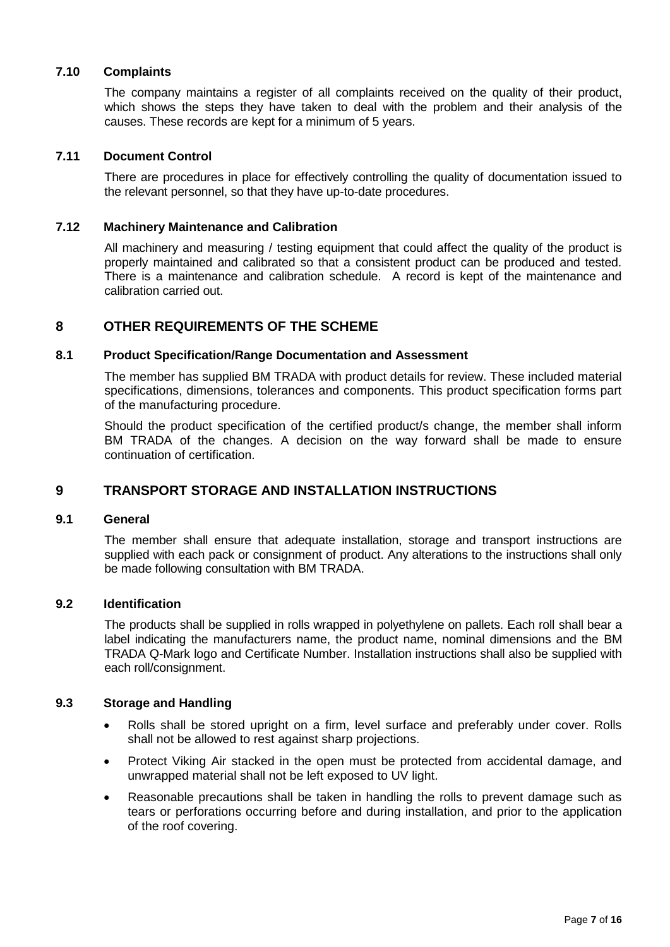#### **7.10 Complaints**

The company maintains a register of all complaints received on the quality of their product, which shows the steps they have taken to deal with the problem and their analysis of the causes. These records are kept for a minimum of 5 years.

#### **7.11 Document Control**

There are procedures in place for effectively controlling the quality of documentation issued to the relevant personnel, so that they have up-to-date procedures.

#### **7.12 Machinery Maintenance and Calibration**

All machinery and measuring / testing equipment that could affect the quality of the product is properly maintained and calibrated so that a consistent product can be produced and tested. There is a maintenance and calibration schedule. A record is kept of the maintenance and calibration carried out.

#### **8 OTHER REQUIREMENTS OF THE SCHEME**

#### **8.1 Product Specification/Range Documentation and Assessment**

The member has supplied BM TRADA with product details for review. These included material specifications, dimensions, tolerances and components. This product specification forms part of the manufacturing procedure.

Should the product specification of the certified product/s change, the member shall inform BM TRADA of the changes. A decision on the way forward shall be made to ensure continuation of certification.

#### **9 TRANSPORT STORAGE AND INSTALLATION INSTRUCTIONS**

#### **9.1 General**

The member shall ensure that adequate installation, storage and transport instructions are supplied with each pack or consignment of product. Any alterations to the instructions shall only be made following consultation with BM TRADA.

#### **9.2 Identification**

The products shall be supplied in rolls wrapped in polyethylene on pallets. Each roll shall bear a label indicating the manufacturers name, the product name, nominal dimensions and the BM TRADA Q-Mark logo and Certificate Number. Installation instructions shall also be supplied with each roll/consignment.

#### **9.3 Storage and Handling**

- Rolls shall be stored upright on a firm, level surface and preferably under cover. Rolls shall not be allowed to rest against sharp projections.
- Protect Viking Air stacked in the open must be protected from accidental damage, and unwrapped material shall not be left exposed to UV light.
- Reasonable precautions shall be taken in handling the rolls to prevent damage such as tears or perforations occurring before and during installation, and prior to the application of the roof covering.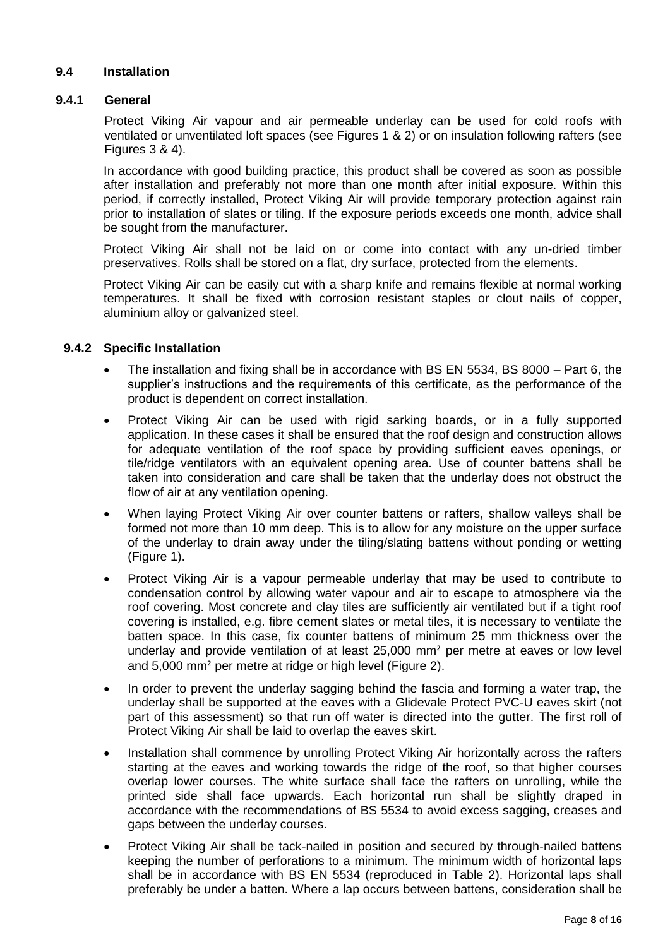#### **9.4 Installation**

#### **9.4.1 General**

Protect Viking Air vapour and air permeable underlay can be used for cold roofs with ventilated or unventilated loft spaces (see Figures 1 & 2) or on insulation following rafters (see Figures 3 & 4).

In accordance with good building practice, this product shall be covered as soon as possible after installation and preferably not more than one month after initial exposure. Within this period, if correctly installed, Protect Viking Air will provide temporary protection against rain prior to installation of slates or tiling. If the exposure periods exceeds one month, advice shall be sought from the manufacturer.

Protect Viking Air shall not be laid on or come into contact with any un-dried timber preservatives. Rolls shall be stored on a flat, dry surface, protected from the elements.

Protect Viking Air can be easily cut with a sharp knife and remains flexible at normal working temperatures. It shall be fixed with corrosion resistant staples or clout nails of copper, aluminium alloy or galvanized steel.

#### **9.4.2 Specific Installation**

- The installation and fixing shall be in accordance with BS EN 5534, BS 8000 Part 6, the supplier's instructions and the requirements of this certificate, as the performance of the product is dependent on correct installation.
- Protect Viking Air can be used with rigid sarking boards, or in a fully supported application. In these cases it shall be ensured that the roof design and construction allows for adequate ventilation of the roof space by providing sufficient eaves openings, or tile/ridge ventilators with an equivalent opening area. Use of counter battens shall be taken into consideration and care shall be taken that the underlay does not obstruct the flow of air at any ventilation opening.
- When laying Protect Viking Air over counter battens or rafters, shallow valleys shall be formed not more than 10 mm deep. This is to allow for any moisture on the upper surface of the underlay to drain away under the tiling/slating battens without ponding or wetting (Figure 1).
- Protect Viking Air is a vapour permeable underlay that may be used to contribute to condensation control by allowing water vapour and air to escape to atmosphere via the roof covering. Most concrete and clay tiles are sufficiently air ventilated but if a tight roof covering is installed, e.g. fibre cement slates or metal tiles, it is necessary to ventilate the batten space. In this case, fix counter battens of minimum 25 mm thickness over the underlay and provide ventilation of at least 25,000 mm² per metre at eaves or low level and 5,000 mm² per metre at ridge or high level (Figure 2).
- In order to prevent the underlay sagging behind the fascia and forming a water trap, the underlay shall be supported at the eaves with a Glidevale Protect PVC-U eaves skirt (not part of this assessment) so that run off water is directed into the gutter. The first roll of Protect Viking Air shall be laid to overlap the eaves skirt.
- Installation shall commence by unrolling Protect Viking Air horizontally across the rafters starting at the eaves and working towards the ridge of the roof, so that higher courses overlap lower courses. The white surface shall face the rafters on unrolling, while the printed side shall face upwards. Each horizontal run shall be slightly draped in accordance with the recommendations of BS 5534 to avoid excess sagging, creases and gaps between the underlay courses.
- Protect Viking Air shall be tack-nailed in position and secured by through-nailed battens keeping the number of perforations to a minimum. The minimum width of horizontal laps shall be in accordance with BS EN 5534 (reproduced in Table 2). Horizontal laps shall preferably be under a batten. Where a lap occurs between battens, consideration shall be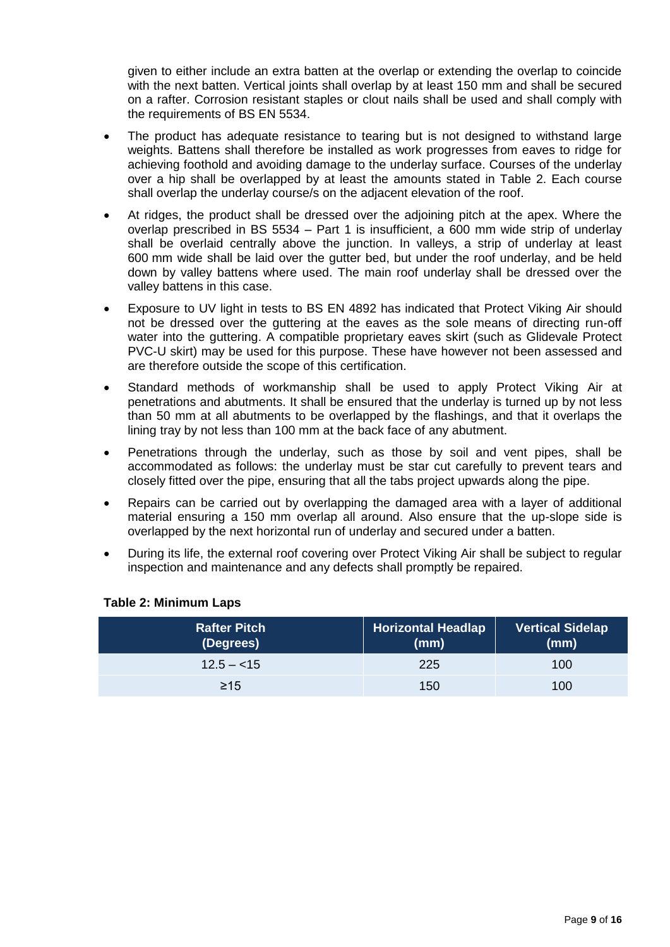given to either include an extra batten at the overlap or extending the overlap to coincide with the next batten. Vertical joints shall overlap by at least 150 mm and shall be secured on a rafter. Corrosion resistant staples or clout nails shall be used and shall comply with the requirements of BS EN 5534.

- The product has adequate resistance to tearing but is not designed to withstand large weights. Battens shall therefore be installed as work progresses from eaves to ridge for achieving foothold and avoiding damage to the underlay surface. Courses of the underlay over a hip shall be overlapped by at least the amounts stated in Table 2. Each course shall overlap the underlay course/s on the adjacent elevation of the roof.
- At ridges, the product shall be dressed over the adjoining pitch at the apex. Where the overlap prescribed in BS 5534 – Part 1 is insufficient, a 600 mm wide strip of underlay shall be overlaid centrally above the junction. In valleys, a strip of underlay at least 600 mm wide shall be laid over the gutter bed, but under the roof underlay, and be held down by valley battens where used. The main roof underlay shall be dressed over the valley battens in this case.
- Exposure to UV light in tests to BS EN 4892 has indicated that Protect Viking Air should not be dressed over the guttering at the eaves as the sole means of directing run-off water into the guttering. A compatible proprietary eaves skirt (such as Glidevale Protect PVC-U skirt) may be used for this purpose. These have however not been assessed and are therefore outside the scope of this certification.
- Standard methods of workmanship shall be used to apply Protect Viking Air at penetrations and abutments. It shall be ensured that the underlay is turned up by not less than 50 mm at all abutments to be overlapped by the flashings, and that it overlaps the lining tray by not less than 100 mm at the back face of any abutment.
- Penetrations through the underlay, such as those by soil and vent pipes, shall be accommodated as follows: the underlay must be star cut carefully to prevent tears and closely fitted over the pipe, ensuring that all the tabs project upwards along the pipe.
- Repairs can be carried out by overlapping the damaged area with a layer of additional material ensuring a 150 mm overlap all around. Also ensure that the up-slope side is overlapped by the next horizontal run of underlay and secured under a batten.
- During its life, the external roof covering over Protect Viking Air shall be subject to regular inspection and maintenance and any defects shall promptly be repaired.

| Rafter Pitch<br>(Degrees) | <b>Horizontal Headlap</b><br>(mm) | <b>Vertical Sidelap</b><br>(mm) |
|---------------------------|-----------------------------------|---------------------------------|
| $12.5 - 15$               | 225                               | 100                             |
| $\geq$ 15                 | 150                               | 100                             |

#### **Table 2: Minimum Laps**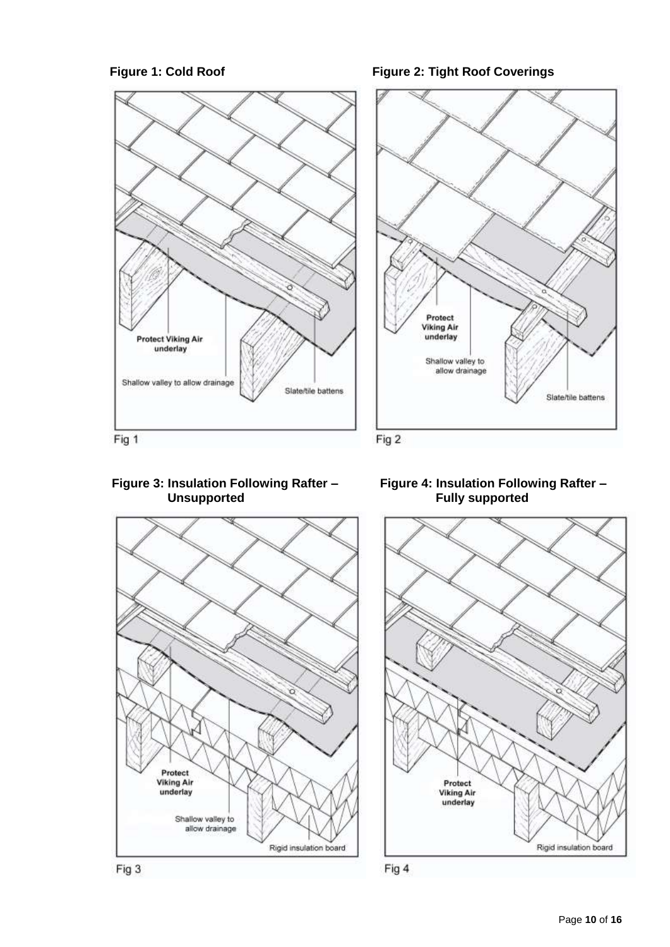

#### Figure 1: Cold Roof **Figure 2: Tight Roof Coverings**



#### **Figure 3: Insulation Following Rafter – Unsupported**







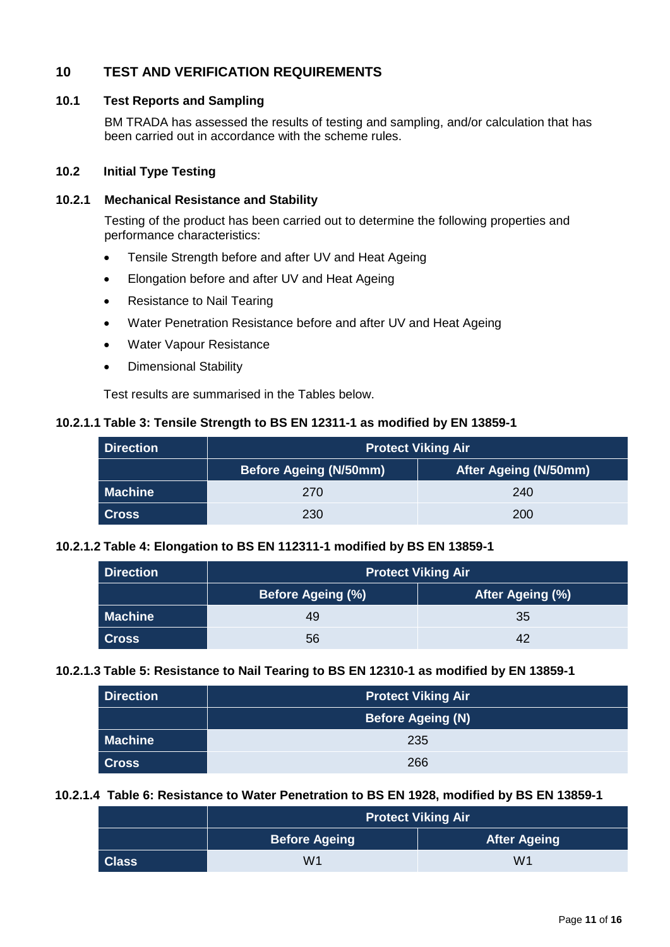#### **10 TEST AND VERIFICATION REQUIREMENTS**

#### **10.1 Test Reports and Sampling**

BM TRADA has assessed the results of testing and sampling, and/or calculation that has been carried out in accordance with the scheme rules.

#### **10.2 Initial Type Testing**

#### **10.2.1 Mechanical Resistance and Stability**

Testing of the product has been carried out to determine the following properties and performance characteristics:

- Tensile Strength before and after UV and Heat Ageing
- Elongation before and after UV and Heat Ageing
- Resistance to Nail Tearing
- Water Penetration Resistance before and after UV and Heat Ageing
- Water Vapour Resistance
- Dimensional Stability

Test results are summarised in the Tables below.

#### **10.2.1.1 Table 3: Tensile Strength to BS EN 12311-1 as modified by EN 13859-1**

| <b>Direction</b> | <b>Protect Viking Air</b>     |                              |  |
|------------------|-------------------------------|------------------------------|--|
|                  | <b>Before Ageing (N/50mm)</b> | <b>After Ageing (N/50mm)</b> |  |
| <b>Machine</b>   | 270                           | 240                          |  |
| <b>Cross</b>     | 230                           | 200                          |  |

#### **10.2.1.2 Table 4: Elongation to BS EN 112311-1 modified by BS EN 13859-1**

| <b>Direction</b> | <b>Protect Viking Air</b> |                  |  |
|------------------|---------------------------|------------------|--|
|                  | <b>Before Ageing (%)</b>  | After Ageing (%) |  |
| <b>Machine</b>   | 49                        | 35               |  |
| <b>Cross</b>     | 56                        | 42               |  |

#### **10.2.1.3 Table 5: Resistance to Nail Tearing to BS EN 12310-1 as modified by EN 13859-1**

| <b>Direction</b> | <b>Protect Viking Air</b> |  |
|------------------|---------------------------|--|
|                  | Before Ageing (N)         |  |
| <b>Machine</b>   | 235                       |  |
| <b>Cross</b>     | 266                       |  |

#### **10.2.1.4 Table 6: Resistance to Water Penetration to BS EN 1928, modified by BS EN 13859-1**

|              | <b>Protect Viking Air</b> |                     |
|--------------|---------------------------|---------------------|
|              | <b>Before Ageing</b>      | <b>After Ageing</b> |
| <b>Class</b> | W1                        | W1                  |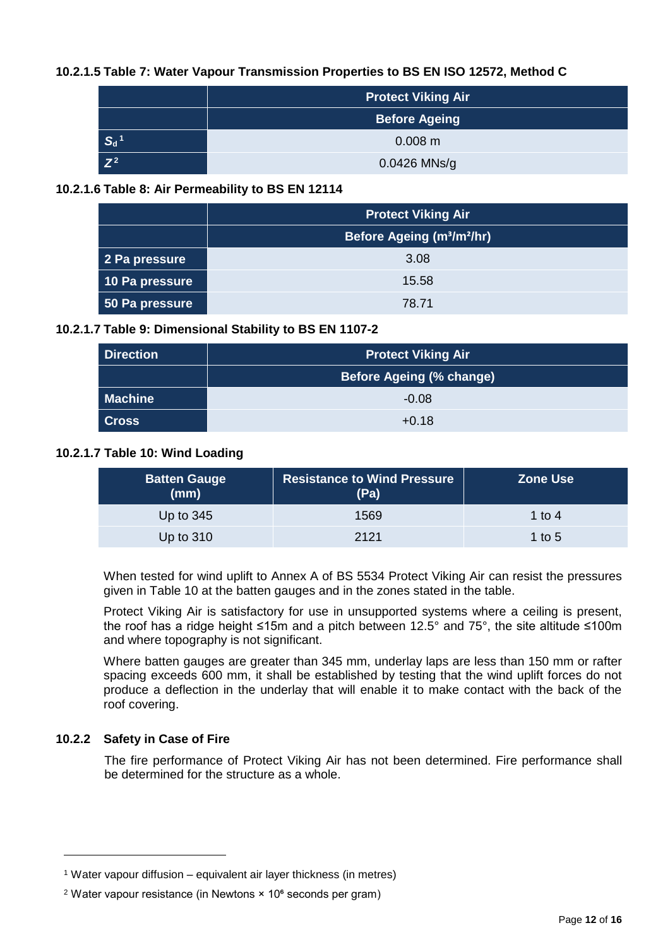#### **10.2.1.5 Table 7: Water Vapour Transmission Properties to BS EN ISO 12572, Method C**

|                                        | Protect Viking Air   |  |
|----------------------------------------|----------------------|--|
|                                        | <b>Before Ageing</b> |  |
| $\mathsf{S}_{\mathsf{d}}$ <sup>1</sup> | $0.008$ m            |  |
| $Z^2$                                  | $0.0426$ MNs/g       |  |

#### **10.2.1.6 Table 8: Air Permeability to BS EN 12114**

|                | <b>Protect Viking Air</b>                          |  |
|----------------|----------------------------------------------------|--|
|                | Before Ageing (m <sup>3</sup> /m <sup>2</sup> /hr) |  |
| 2 Pa pressure  | 3.08                                               |  |
| 10 Pa pressure | 15.58                                              |  |
| 50 Pa pressure | 78.71                                              |  |

#### **10.2.1.7 Table 9: Dimensional Stability to BS EN 1107-2**

| <b>Direction</b> | <b>Protect Viking Air</b>       |  |
|------------------|---------------------------------|--|
|                  | <b>Before Ageing (% change)</b> |  |
| <b>Machine</b>   | $-0.08$                         |  |
| <b>Cross</b>     | $+0.18$                         |  |

#### **10.2.1.7 Table 10: Wind Loading**

| <b>Batten Gauge</b><br>(mm) | <b>Resistance to Wind Pressure</b><br>(Pa) | <b>Zone Use</b> |
|-----------------------------|--------------------------------------------|-----------------|
| Up to $345$                 | 1569                                       | 1 to 4          |
| Up to $310$                 | 2121                                       | 1 to 5          |

When tested for wind uplift to Annex A of BS 5534 Protect Viking Air can resist the pressures given in Table 10 at the batten gauges and in the zones stated in the table.

Protect Viking Air is satisfactory for use in unsupported systems where a ceiling is present, the roof has a ridge height ≤15m and a pitch between 12.5° and 75°, the site altitude ≤100m and where topography is not significant.

Where batten gauges are greater than 345 mm, underlay laps are less than 150 mm or rafter spacing exceeds 600 mm, it shall be established by testing that the wind uplift forces do not produce a deflection in the underlay that will enable it to make contact with the back of the roof covering.

#### **10.2.2 Safety in Case of Fire**

l

The fire performance of Protect Viking Air has not been determined. Fire performance shall be determined for the structure as a whole.

<sup>&</sup>lt;sup>1</sup> Water vapour diffusion – equivalent air layer thickness (in metres)

<sup>&</sup>lt;sup>2</sup> Water vapour resistance (in Newtons  $\times$  10 $\textdegree$  seconds per gram)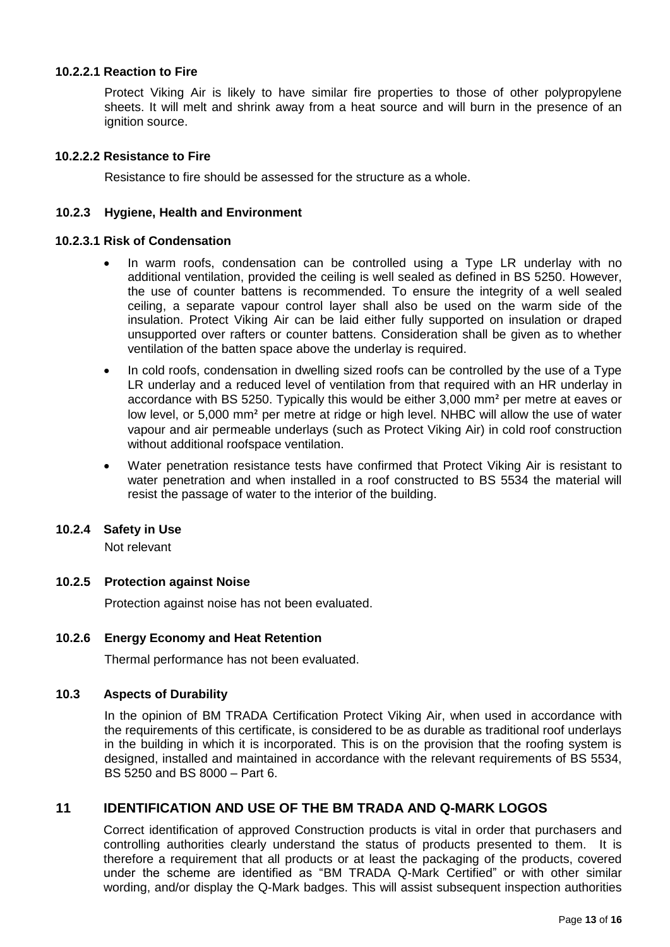#### **10.2.2.1 Reaction to Fire**

Protect Viking Air is likely to have similar fire properties to those of other polypropylene sheets. It will melt and shrink away from a heat source and will burn in the presence of an ignition source.

#### **10.2.2.2 Resistance to Fire**

Resistance to fire should be assessed for the structure as a whole.

#### **10.2.3 Hygiene, Health and Environment**

#### **10.2.3.1 Risk of Condensation**

- In warm roofs, condensation can be controlled using a Type LR underlay with no additional ventilation, provided the ceiling is well sealed as defined in BS 5250. However, the use of counter battens is recommended. To ensure the integrity of a well sealed ceiling, a separate vapour control layer shall also be used on the warm side of the insulation. Protect Viking Air can be laid either fully supported on insulation or draped unsupported over rafters or counter battens. Consideration shall be given as to whether ventilation of the batten space above the underlay is required.
- In cold roofs, condensation in dwelling sized roofs can be controlled by the use of a Type LR underlay and a reduced level of ventilation from that required with an HR underlay in accordance with BS 5250. Typically this would be either 3,000 mm² per metre at eaves or low level, or 5,000 mm² per metre at ridge or high level. NHBC will allow the use of water vapour and air permeable underlays (such as Protect Viking Air) in cold roof construction without additional roofspace ventilation.
- Water penetration resistance tests have confirmed that Protect Viking Air is resistant to water penetration and when installed in a roof constructed to BS 5534 the material will resist the passage of water to the interior of the building.

#### **10.2.4 Safety in Use**

Not relevant

#### **10.2.5 Protection against Noise**

Protection against noise has not been evaluated.

#### **10.2.6 Energy Economy and Heat Retention**

Thermal performance has not been evaluated.

#### **10.3 Aspects of Durability**

In the opinion of BM TRADA Certification Protect Viking Air, when used in accordance with the requirements of this certificate, is considered to be as durable as traditional roof underlays in the building in which it is incorporated. This is on the provision that the roofing system is designed, installed and maintained in accordance with the relevant requirements of BS 5534, BS 5250 and BS 8000 – Part 6.

#### **11 IDENTIFICATION AND USE OF THE BM TRADA AND Q-MARK LOGOS**

Correct identification of approved Construction products is vital in order that purchasers and controlling authorities clearly understand the status of products presented to them. It is therefore a requirement that all products or at least the packaging of the products, covered under the scheme are identified as "BM TRADA Q-Mark Certified" or with other similar wording, and/or display the Q-Mark badges. This will assist subsequent inspection authorities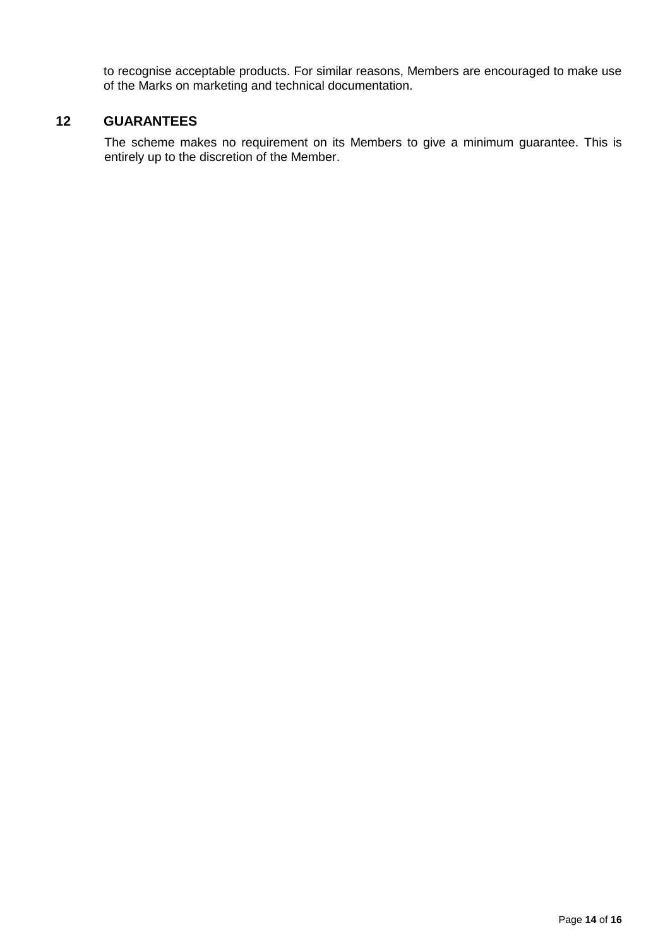to recognise acceptable products. For similar reasons, Members are encouraged to make use of the Marks on marketing and technical documentation.

#### **12 GUARANTEES**

The scheme makes no requirement on its Members to give a minimum guarantee. This is entirely up to the discretion of the Member.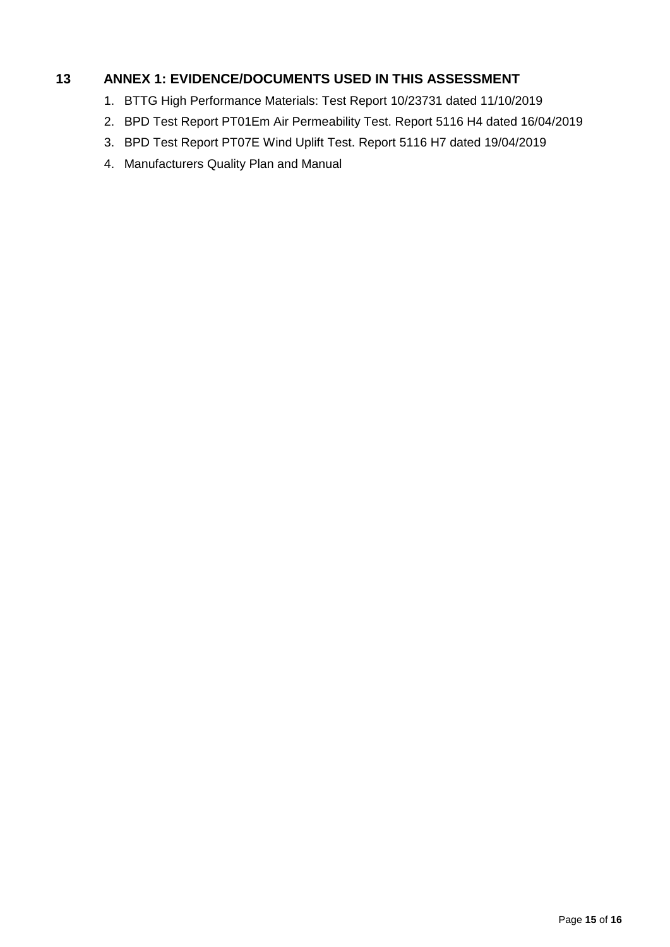#### **13 ANNEX 1: EVIDENCE/DOCUMENTS USED IN THIS ASSESSMENT**

- 1. BTTG High Performance Materials: Test Report 10/23731 dated 11/10/2019
- 2. BPD Test Report PT01Em Air Permeability Test. Report 5116 H4 dated 16/04/2019
- 3. BPD Test Report PT07E Wind Uplift Test. Report 5116 H7 dated 19/04/2019
- 4. Manufacturers Quality Plan and Manual